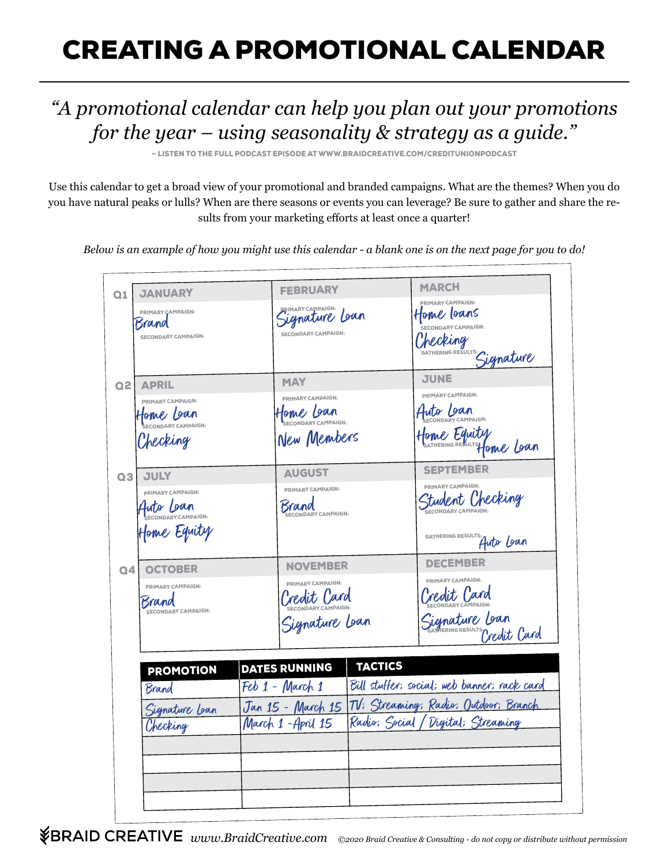## CREATING A PROMOTIONAL CALENDAR

## *"A promotional calendar can help you plan out your promotions for the year – using seasonality & strategy as a guide."*

– LISTEN TO THE FULL PODCAST EPISODE AT WWW.BRAIDCREATIVE.COM/CREDITUNIONPODCAST

Use this calendar to get a broad view of your promotional and branded campaigns. What are the themes? When you do you have natural peaks or lulls? When are there seasons or events you can leverage? Be sure to gather and share the results from your marketing efforts at least once a quarter!

*Below is an example of how you might use this calendar - a blank one is on the next page for you to do!* 

| <b>JANUARY</b><br>Q <sub>1</sub>   | <b>FEBRUARY</b>                                                | <b>MARCH</b>                                   |
|------------------------------------|----------------------------------------------------------------|------------------------------------------------|
| PRIMARY ÇAMPAIGN:                  | Signature Loan                                                 | <b>PRIMARY CAMPAIGN:</b><br>Home loans         |
| Brand                              |                                                                | CAMPAIGN:                                      |
| <b>SECONDARY CAMPAIGN:</b>         | <b>SECONDARY CAMPAIGN:</b>                                     | Checking                                       |
|                                    |                                                                |                                                |
|                                    |                                                                | SATHERING RESULTS: Gignature                   |
| <b>APRIL</b><br>Q2L                | <b>MAY</b>                                                     | <b>JUNE</b>                                    |
| <b>PRIMARY CAMPAIGN:</b>           | PRIMARY CAMPAIGN:                                              | PRIMARY CAMPAIGN:                              |
|                                    | Home Loan                                                      | Huto Loan                                      |
| Home Loan                          |                                                                |                                                |
|                                    | New Members                                                    | Home Equity<br>Home Equity                     |
| Checking                           |                                                                |                                                |
|                                    |                                                                |                                                |
| <b>JULY</b><br>Q3                  | <b>AUGUST</b>                                                  | <b>SEPTEMBER</b>                               |
| PRIMARY CAMPAIGN:                  | PRIMARY CAMPAIGN:                                              | PRIMARY CAMPAIGN:                              |
| Auto Loan                          | Srand                                                          | Student Checking                               |
|                                    | CONDARY CAMPAIGN:                                              |                                                |
| Home Equity                        |                                                                |                                                |
|                                    |                                                                | GATHERING RESULTS: Auto Loan                   |
|                                    |                                                                |                                                |
| <b>OCTOBER</b><br>Q <sub>4</sub>   | <b>NOVEMBER</b>                                                | <b>DECEMBER</b>                                |
| PRIMARY CAMPAIGN:                  | PRIMARY CAMPAIGN:                                              | PRIMARY CAMPAIGN:                              |
|                                    | Credit Card                                                    | Credit Card                                    |
| Brand<br><b>ECONDARY CAMPAIGN:</b> |                                                                |                                                |
|                                    | Signature Lean                                                 |                                                |
|                                    |                                                                | Signature Loan<br>Samering RESULTS Credit Card |
|                                    |                                                                |                                                |
| <b>PROMOTION</b>                   | <b>TACTICS</b><br><b>DATES RUNNING</b>                         |                                                |
|                                    | Feb 1 - March 1                                                | Bill stuffer; social; web banner; rack card    |
| Brand                              |                                                                |                                                |
| Signature Lean                     | Jan 15 - March 15 <i>TV: Streaming: Radio: Outdoor: Branch</i> |                                                |
| Checking                           | March 1-April 15                                               | Radio; Social / Digital; Streaming             |
|                                    |                                                                |                                                |
|                                    |                                                                |                                                |
|                                    |                                                                |                                                |
|                                    |                                                                |                                                |
|                                    |                                                                |                                                |
|                                    |                                                                |                                                |

*www.BraidCreative.com ©2020 Braid Creative & Consulting - do not copy or distribute without permission*